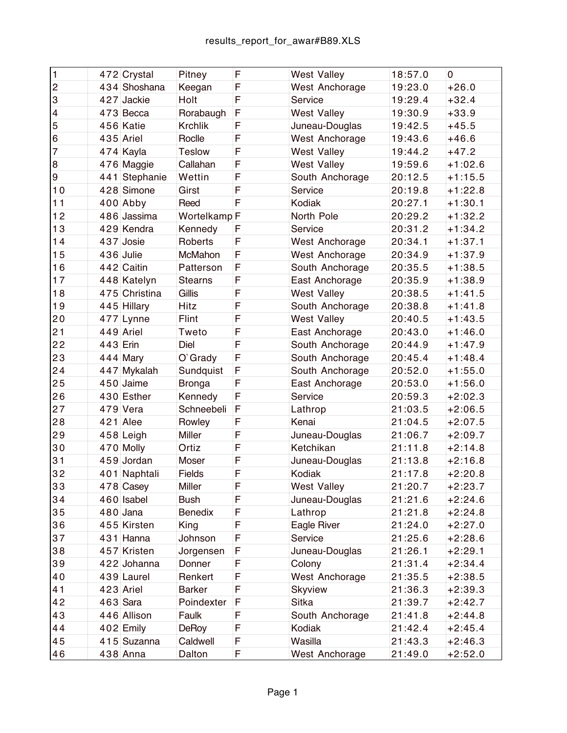| $\vert$ 1                 |            | 472 Crystal   | Pitney                  | F | <b>West Valley</b> | 18:57.0 | 0         |
|---------------------------|------------|---------------|-------------------------|---|--------------------|---------|-----------|
| $\overline{c}$            |            | 434 Shoshana  | Keegan                  | F | West Anchorage     | 19:23.0 | $+26.0$   |
| $\ensuremath{\mathsf{3}}$ |            | $427$ Jackie  | Holt                    | F | Service            | 19:29.4 | $+32.4$   |
| $\overline{4}$            |            | $473$ Becca   | Rorabaugh               | F | <b>West Valley</b> | 19:30.9 | $+33.9$   |
| 5                         |            | 456 Katie     | <b>Krchlik</b>          | F | Juneau-Douglas     | 19:42.5 | $+45.5$   |
| $\,6\,$                   |            | $435$ Ariel   | Roclle                  | F | West Anchorage     | 19:43.6 | $+46.6$   |
| $\overline{7}$            |            | 474 Kayla     | <b>Teslow</b>           | F | <b>West Valley</b> | 19:44.2 | $+47.2$   |
| $\bf8$                    |            | 476 Maggie    | Callahan                | F | <b>West Valley</b> | 19:59.6 | $+1:02.6$ |
| $\boldsymbol{9}$          |            | 441 Stephanie | Wettin                  | F | South Anchorage    | 20:12.5 | $+1:15.5$ |
| 10                        |            | 428 Simone    | Girst                   | F | Service            | 20:19.8 | $+1:22.8$ |
| 11                        |            | $400$ Abby    | Reed                    | F | Kodiak             | 20:27.1 | $+1:30.1$ |
| 12                        |            | 486 Jassima   | Wortelkamp <sup>F</sup> |   | North Pole         | 20:29.2 | $+1:32.2$ |
| 13                        |            | 429 Kendra    | Kennedy                 | F | Service            | 20:31.2 | $+1:34.2$ |
| 14                        |            | $437$ Josie   | Roberts                 | F | West Anchorage     | 20:34.1 | $+1:37.1$ |
| 15                        |            | $436$ Julie   | McMahon                 | F | West Anchorage     | 20:34.9 | $+1:37.9$ |
| 16                        |            | 442 Caitin    | Patterson               | F | South Anchorage    | 20:35.5 | $+1:38.5$ |
| 17                        |            | 448 Katelyn   | <b>Stearns</b>          | F | East Anchorage     | 20:35.9 | $+1:38.9$ |
| 18                        |            | 475 Christina | Gillis                  | F | <b>West Valley</b> | 20:38.5 | $+1:41.5$ |
| 19                        |            | $445$ Hillary | Hitz                    | F | South Anchorage    | 20:38.8 | $+1:41.8$ |
| 20                        |            | $477$ Lynne   | Flint                   | F | <b>West Valley</b> | 20:40.5 | $+1:43.5$ |
| 21                        |            | $449$ Ariel   | Tweto                   | F | East Anchorage     | 20:43.0 | $+1:46.0$ |
| 22                        | $443$ Erin |               | Diel                    | F | South Anchorage    | 20:44.9 | $+1:47.9$ |
| 23                        |            | $444$ Mary    | O'Grady                 | F | South Anchorage    | 20:45.4 | $+1:48.4$ |
| 24                        |            | 447 Mykalah   | Sundquist               | F | South Anchorage    | 20:52.0 | $+1:55.0$ |
| 25                        |            | $450$ Jaime   | <b>Bronga</b>           | F | East Anchorage     | 20:53.0 | $+1:56.0$ |
| 26                        |            | 430 Esther    | Kennedy                 | F | Service            | 20:59.3 | $+2:02.3$ |
| 27                        | 479        | Vera          | Schneebeli              | F | Lathrop            | 21:03.5 | $+2:06.5$ |
| 28                        |            | $421$ Alee    | Rowley                  | F | Kenai              | 21:04.5 | $+2:07.5$ |
| 29                        |            | $458$ Leigh   | Miller                  | F | Juneau-Douglas     | 21:06.7 | $+2:09.7$ |
| 30                        |            | $470$ Molly   | Ortiz                   | F | Ketchikan          | 21:11.8 | $+2:14.8$ |
| 31                        |            | $459$ Jordan  | Moser                   | F | Juneau-Douglas     | 21:13.8 | $+2:16.8$ |
| 32                        |            | 401 Naphtali  | Fields                  | F | Kodiak             | 21:17.8 | $+2:20.8$ |
| 33                        |            | $478$ Casey   | Miller                  | F | <b>West Valley</b> | 21:20.7 | $+2:23.7$ |
| 34                        |            | $460$ Isabel  | <b>Bush</b>             | F | Juneau-Douglas     | 21:21.6 | $+2:24.6$ |
| 35                        |            | $480$ Jana    | Benedix                 | F | Lathrop            | 21:21.8 | $+2:24.8$ |
| 36                        |            | 455 Kirsten   | King                    | F | Eagle River        | 21:24.0 | $+2:27.0$ |
| 37                        |            | $431$ Hanna   | Johnson                 | F | Service            | 21:25.6 | $+2:28.6$ |
| 38                        |            | 457 Kristen   | Jorgensen               | F | Juneau-Douglas     | 21:26.1 | $+2:29.1$ |
| 39                        |            | 422 Johanna   | Donner                  | F | Colony             | 21:31.4 | $+2:34.4$ |
| 40                        |            | $439$ Laurel  | Renkert                 | F | West Anchorage     | 21:35.5 | $+2:38.5$ |
| 41                        |            | $423$ Ariel   | <b>Barker</b>           | F | Skyview            | 21:36.3 | +2:39.3   |
| 42                        |            | $463$ Sara    | Poindexter              | F | Sitka              | 21:39.7 | $+2:42.7$ |
| 43                        |            | 446 Allison   | Faulk                   | F | South Anchorage    | 21:41.8 | $+2:44.8$ |
| 44                        |            | $402$ Emily   | <b>DeRoy</b>            | F | Kodiak             | 21:42.4 | $+2:45.4$ |
| 45                        |            | 415 Suzanna   | Caldwell                | F | Wasilla            | 21:43.3 | $+2:46.3$ |
| 46                        |            | $438$ Anna    | Dalton                  | F | West Anchorage     | 21:49.0 | $+2:52.0$ |